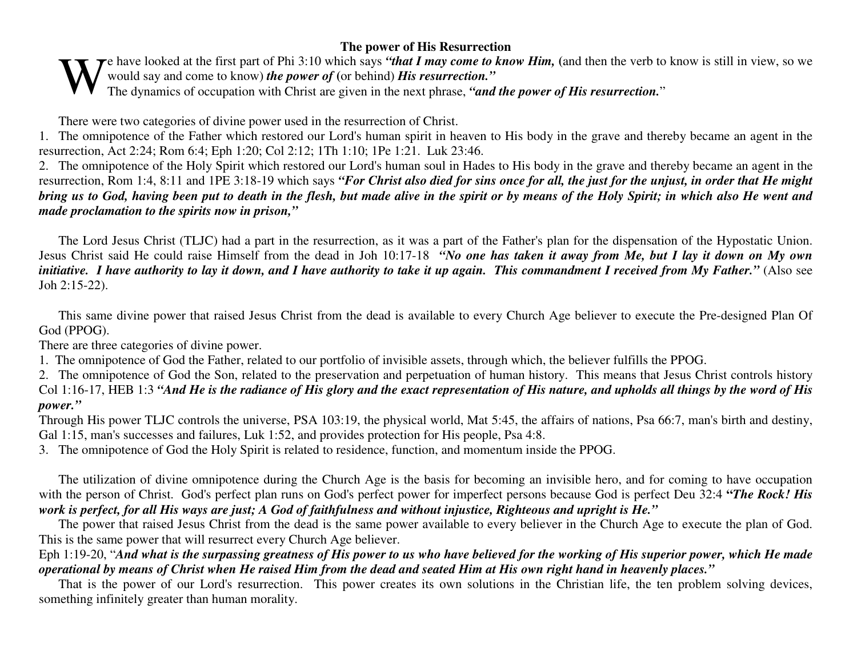## **The power of His Resurrection**

e have looked at the first par<sup>t</sup> of Phi 3:10 which says *"that I may come to know Him,* **(**and then the verb to know is still in view, so we would say and come to know) *the power of* **(**or behind) *His resurrection."* The dynamics of occupation with Christ are given in the next phrase, *"and the power of His resurrection."*<br>The dynamics of occupation with Christ are given in the next phrase, *"and the power of His resurrection.*"

There were two categories of divine power used in the resurrection of Christ.

1. The omnipotence of the Father which restored our Lord's human spirit in heaven to His body in the grave and thereby became an agen<sup>t</sup> in the resurrection, Act 2:24; Rom 6:4; Eph 1:20; Col 2:12; 1Th 1:10; 1Pe 1:21. Luk 23:46.

2. The omnipotence of the Holy Spirit which restored our Lord's human soul in Hades to His body in the grave and thereby became an agen<sup>t</sup> in the resurrection, Rom 1:4, 8:11 and 1PE 3:18-19 which says "For Christ also died for sins once for all, the just for the unjust, in order that He might bring us to God, having been put to death in the flesh, but made alive in the spirit or by means of the Holy Spirit; in which also He went and *made proclamation to the spirits now in prison,"*

The Lord Jesus Christ (TLJC) had <sup>a</sup> par<sup>t</sup> in the resurrection, as it was <sup>a</sup> par<sup>t</sup> of the Father's plan for the dispensation of the Hypostatic Union. Jesus Christ said He could raise Himself from the dead in Joh 10:17-18 *"No one has taken it away from Me, but I lay it down on My own* initiative. I have authority to lay it down, and I have authority to take it up again. This commandment I received from My Father." (Also see Joh 2:15-22).

This same divine power that raised Jesus Christ from the dead is available to every Church Age believer to execute the Pre-designed Plan Of God (PPOG).

There are three categories of divine power.

1. The omnipotence of God the Father, related to our portfolio of invisible assets, through which, the believer fulfills the PPOG.

2. The omnipotence of God the Son, related to the preservation and perpetuation of human history. This means that Jesus Christ controls history Col 1:16-17, HEB 1:3 "And He is the radiance of His glory and the exact representation of His nature, and upholds all things by the word of His *power."*

Through His power TLJC controls the universe, PSA 103:19, the physical world, Mat 5:45, the affairs of nations, Psa 66:7, man's birth and destiny, Gal 1:15, man's successes and failures, Luk 1:52, and provides protection for His people, Psa 4:8.

3. The omnipotence of God the Holy Spirit is related to residence, function, and momentum inside the PPOG.

The utilization of divine omnipotence during the Church Age is the basis for becoming an invisible hero, and for coming to have occupation with the person of Christ. God's perfect plan runs on God's perfect power for imperfect persons because God is perfect Deu 32:4 **"***The Rock! His* work is perfect, for all His ways are just; A God of faithfulness and without injustice, Righteous and upright is He."

The power that raised Jesus Christ from the dead is the same power available to every believer in the Church Age to execute the plan of God. This is the same power that will resurrect every Church Age believer.

Eph 1:19-20, "And what is the surpassing greatness of His power to us who have believed for the working of His superior power, which He made operational by means of Christ when He raised Him from the dead and seated Him at His own right hand in heavenly places."

That is the power of our Lord's resurrection. This power creates its own solutions in the Christian life, the ten problem solving devices, something infinitely greater than human morality.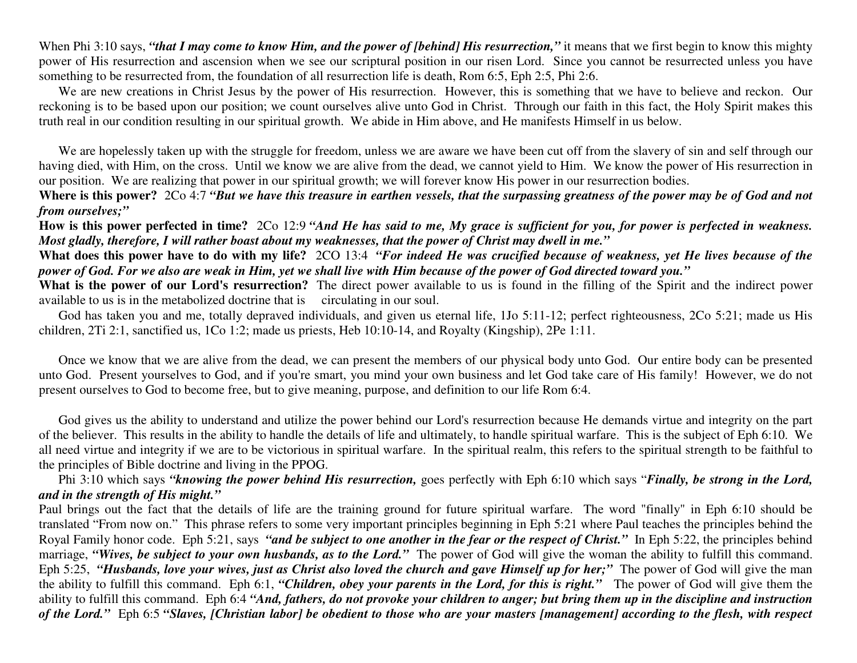When Phi 3:10 says, "that I may come to know Him, and the power of [behind] His resurrection," it means that we first begin to know this mighty power of His resurrection and ascension when we see our scriptural position in our risen Lord. Since you cannot be resurrected unless you have something to be resurrected from, the foundation of all resurrection life is death, Rom 6:5, Eph 2:5, Phi 2:6.

We are new creations in Christ Jesus by the power of His resurrection. However, this is something that we have to believe and reckon. Our reckoning is to be based upon our position; we count ourselves alive unto God in Christ. Through our faith in this fact, the Holy Spirit makes this truth real in our condition resulting in our spiritual growth. We abide in Him above, and He manifests Himself in us below.

We are hopelessly taken up with the struggle for freedom, unless we are aware we have been cut off from the slavery of sin and self through our having died, with Him, on the cross. Until we know we are alive from the dead, we cannot yield to Him. We know the power of His resurrection in our position. We are realizing that power in our spiritual growth; we will forever know His power in our resurrection bodies.

Where is this power? 2Co 4:7 "But we have this treasure in earthen vessels, that the surpassing greatness of the power may be of God and not *from ourselves;"*

How is this power perfected in time? 2Co 12:9 "And He has said to me, My grace is sufficient for you, for power is perfected in weakness. Most gladly, therefore, I will rather boast about my weaknesses, that the power of Christ may dwell in me."

What does this power have to do with my life? 2CO 13:4 *"For indeed He was crucified because of weakness, yet He lives because of the* power of God. For we also are weak in Him, yet we shall live with Him because of the power of God directed toward you."

**What is the power of our Lord's resurrection?** The direct power available to us is found in the filling of the Spirit and the indirect power available to us is in the metabolized doctrine that is circulating in our soul.

God has taken you and me, totally depraved individuals, and given us eternal life, 1Jo 5:11-12; perfect righteousness, 2Co 5:21; made us His children, 2Ti 2:1, sanctified us, 1Co 1:2; made us priests, Heb 10:10-14, and Royalty (Kingship), 2Pe 1:11.

Once we know that we are alive from the dead, we can presen<sup>t</sup> the members of our physical body unto God. Our entire body can be presented unto God. Present yourselves to God, and if you're smart, you mind your own business and let God take care of His family! However, we do not presen<sup>t</sup> ourselves to God to become free, but to give meaning, purpose, and definition to our life Rom 6:4.

God gives us the ability to understand and utilize the power behind our Lord's resurrection because He demands virtue and integrity on the par<sup>t</sup> of the believer. This results in the ability to handle the details of life and ultimately, to handle spiritual warfare. This is the subject of Eph 6:10. We all need virtue and integrity if we are to be victorious in spiritual warfare. In the spiritual realm, this refers to the spiritual strength to be faithful to the principles of Bible doctrine and living in the PPOG.

Phi 3:10 which says *"knowing the power behind His resurrection,* goes perfectly with Eph 6:10 which says "*Finally, be strong in the Lord, and in the strength of His might."*

Paul brings out the fact that the details of life are the training ground for future spiritual warfare. The word "finally" in Eph 6:10 should be translated "From now on." This phrase refers to some very important principles beginning in Eph 5:21 where Paul teaches the principles behind the Royal Family honor code. Eph 5:21, says "and be subject to one another in the fear or the respect of Christ." In Eph 5:22, the principles behind marriage, *"Wives, be subject to your own husbands, as to the Lord."* The power of God will give the woman the ability to fulfill this command. Eph 5:25, "Husbands, love your wives, just as Christ also loved the church and gave Himself up for her;" The power of God will give the man the ability to fulfill this command. Eph 6:1, *"Children, obey your parents in the Lord, for this is right."* The power of God will give them the ability to fulfill this command. Eph 6:4 "And, fathers, do not provoke your children to anger; but bring them up in the discipline and instruction of the Lord." Eph 6:5 "Slaves, [Christian labor] be obedient to those who are your masters [management] according to the flesh, with respect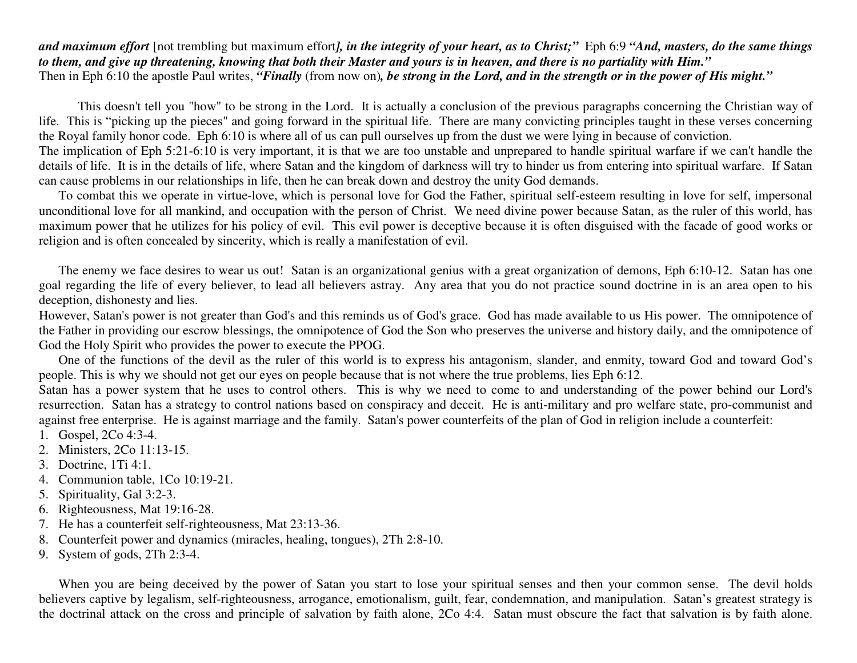and maximum effort [not trembling but maximum effort], in the integrity of your heart, as to Christ;" Eph 6:9 "And, masters, do the same things to them, and give up threatening, knowing that both their Master and yours is in heaven, and there is no partiality with Him." Then in Eph 6:10 the apostle Paul writes, "*Finally* (from now on), *be strong in the Lord, and in the strength or in the power of His might*."

This doesn't tell you "how" to be strong in the Lord. It is actually <sup>a</sup> conclusion of the previous paragraphs concerning the Christian way of life. This is "picking up the pieces" and going forward in the spiritual life. There are many convicting principles taught in these verses concerning the Royal family honor code. Eph 6:10 is where all of us can pull ourselves up from the dust we were lying in because of conviction.

The implication of Eph 5:21-6:10 is very important, it is that we are too unstable and unprepared to handle spiritual warfare if we can't handle the details of life. It is in the details of life, where Satan and the kingdom of darkness will try to hinder us from entering into spiritual warfare. If Satan can cause problems in our relationships in life, then he can break down and destroy the unity God demands.

To combat this we operate in virtue-love, which is personal love for God the Father, spiritual self-esteem resulting in love for self, impersonal unconditional love for all mankind, and occupation with the person of Christ. We need divine power because Satan, as the ruler of this world, has maximum power that he utilizes for his policy of evil. This evil power is deceptive because it is often disguised with the facade of good works or religion and is often concealed by sincerity, which is really <sup>a</sup> manifestation of evil.

The enemy we face desires to wear us out! Satan is an organizational genius with <sup>a</sup> grea<sup>t</sup> organization of demons, Eph 6:10-12. Satan has one goal regarding the life of every believer, to lead all believers astray. Any area that you do not practice sound doctrine in is an area open to his deception, dishonesty and lies.

However, Satan's power is not greater than God's and this reminds us of God's grace. God has made available to us His power. The omnipotence of the Father in providing our escrow blessings, the omnipotence of God the Son who preserves the universe and history daily, and the omnipotence of God the Holy Spirit who provides the power to execute the PPOG.

One of the functions of the devil as the ruler of this world is to express his antagonism, slander, and enmity, toward God and toward God's people. This is why we should not ge<sup>t</sup> our eyes on people because that is not where the true problems, lies Eph 6:12.

Satan has <sup>a</sup> power system that he uses to control others. This is why we need to come to and understanding of the power behind our Lord's resurrection. Satan has <sup>a</sup> strategy to control nations based on conspiracy and deceit. He is anti-military and pro welfare state, pro-communist and against free enterprise. He is against marriage and the family. Satan's power counterfeits of the plan of God in religion include <sup>a</sup> counterfeit:

- 1. Gospel, 2Co 4:3-4.
- 2. Ministers, 2Co 11:13-15.
- 3. Doctrine, 1Ti 4:1.
- 4. Communion table, 1Co 10:19-21.
- 5. Spirituality, Gal 3:2-3.
- 6. Righteousness, Mat 19:16-28.
- 7. He has <sup>a</sup> counterfeit self-righteousness, Mat 23:13-36.
- 8. Counterfeit power and dynamics (miracles, healing, tongues), 2Th 2:8-10.
- 9. System of gods, 2Th 2:3-4.

When you are being deceived by the power of Satan you start to lose your spiritual senses and then your common sense. The devil holds believers captive by legalism, self-righteousness, arrogance, emotionalism, guilt, fear, condemnation, and manipulation. Satan's greatest strategy is the doctrinal attack on the cross and principle of salvation by faith alone, 2Co 4:4. Satan must obscure the fact that salvation is by faith alone.